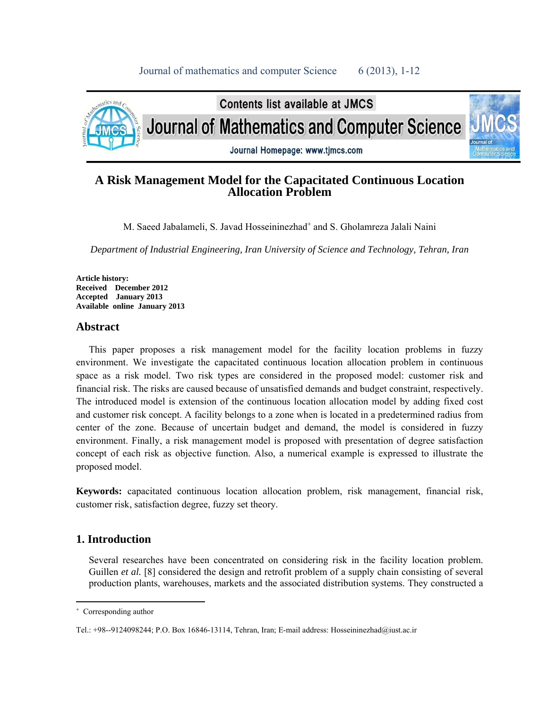

# **A Risk Management Model for the Capacitated Continuous Location Allocation Problem**

M. Saeed Jabalameli, S. Javad Hosseininezhad<sup>+</sup> and S. Gholamreza Jalali Naini

*Department of Industrial Engineering, Iran University of Science and Technology, Tehran, Iran* 

**Article history: Received December 2012 Accepted January 2013 Available online January 2013** 

## **Abstract**

This paper proposes a risk management model for the facility location problems in fuzzy environment. We investigate the capacitated continuous location allocation problem in continuous space as a risk model. Two risk types are considered in the proposed model: customer risk and financial risk. The risks are caused because of unsatisfied demands and budget constraint, respectively. The introduced model is extension of the continuous location allocation model by adding fixed cost and customer risk concept. A facility belongs to a zone when is located in a predetermined radius from center of the zone. Because of uncertain budget and demand, the model is considered in fuzzy environment. Finally, a risk management model is proposed with presentation of degree satisfaction concept of each risk as objective function. Also, a numerical example is expressed to illustrate the proposed model.

**Keywords:** capacitated continuous location allocation problem, risk management, financial risk, customer risk, satisfaction degree, fuzzy set theory.

# **1. Introduction**

Several researches have been concentrated on considering risk in the facility location problem. Guillen *et al.* [8] considered the design and retrofit problem of a supply chain consisting of several production plants, warehouses, markets and the associated distribution systems. They constructed a

1

 Corresponding author

Tel.: +98--9124098244; P.O. Box 16846-13114, Tehran, Iran; E-mail address: Hosseininezhad@iust.ac.ir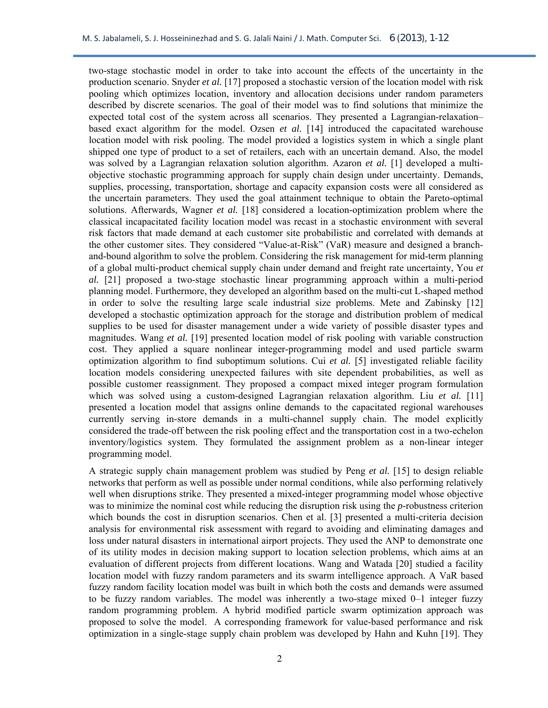two-stage stochastic model in order to take into account the effects of the uncertainty in the production scenario. Snyder *et al.* [17] proposed a stochastic version of the location model with risk pooling which optimizes location, inventory and allocation decisions under random parameters described by discrete scenarios. The goal of their model was to find solutions that minimize the expected total cost of the system across all scenarios. They presented a Lagrangian-relaxation– based exact algorithm for the model. Ozsen *et al.* [14] introduced the capacitated warehouse location model with risk pooling. The model provided a logistics system in which a single plant shipped one type of product to a set of retailers, each with an uncertain demand. Also, the model was solved by a Lagrangian relaxation solution algorithm. Azaron *et al.* [1] developed a multiobjective stochastic programming approach for supply chain design under uncertainty. Demands, supplies, processing, transportation, shortage and capacity expansion costs were all considered as the uncertain parameters. They used the goal attainment technique to obtain the Pareto-optimal solutions. Afterwards, Wagner *et al.* [18] considered a location-optimization problem where the classical incapacitated facility location model was recast in a stochastic environment with several risk factors that made demand at each customer site probabilistic and correlated with demands at the other customer sites. They considered "Value-at-Risk" (VaR) measure and designed a branchand-bound algorithm to solve the problem. Considering the risk management for mid-term planning of a global multi-product chemical supply chain under demand and freight rate uncertainty, You *et al.* [21] proposed a two-stage stochastic linear programming approach within a multi-period planning model. Furthermore, they developed an algorithm based on the multi-cut L-shaped method in order to solve the resulting large scale industrial size problems. Mete and Zabinsky [12] developed a stochastic optimization approach for the storage and distribution problem of medical supplies to be used for disaster management under a wide variety of possible disaster types and magnitudes. Wang *et al.* [19] presented location model of risk pooling with variable construction cost. They applied a square nonlinear integer-programming model and used particle swarm optimization algorithm to find suboptimum solutions. Cui *et al.* [5] investigated reliable facility location models considering unexpected failures with site dependent probabilities, as well as possible customer reassignment. They proposed a compact mixed integer program formulation which was solved using a custom-designed Lagrangian relaxation algorithm. Liu *et al.* [11] presented a location model that assigns online demands to the capacitated regional warehouses currently serving in-store demands in a multi-channel supply chain. The model explicitly considered the trade-off between the risk pooling effect and the transportation cost in a two-echelon inventory/logistics system. They formulated the assignment problem as a non-linear integer programming model.

A strategic supply chain management problem was studied by Peng *et al.* [15] to design reliable networks that perform as well as possible under normal conditions, while also performing relatively well when disruptions strike. They presented a mixed-integer programming model whose objective was to minimize the nominal cost while reducing the disruption risk using the *p*-robustness criterion which bounds the cost in disruption scenarios. Chen et al. [3] presented a multi-criteria decision analysis for environmental risk assessment with regard to avoiding and eliminating damages and loss under natural disasters in international airport projects. They used the ANP to demonstrate one of its utility modes in decision making support to location selection problems, which aims at an evaluation of different projects from different locations. Wang and Watada [20] studied a facility location model with fuzzy random parameters and its swarm intelligence approach. A VaR based fuzzy random facility location model was built in which both the costs and demands were assumed to be fuzzy random variables. The model was inherently a two-stage mixed 0–1 integer fuzzy random programming problem. A hybrid modified particle swarm optimization approach was proposed to solve the model. A corresponding framework for value-based performance and risk optimization in a single-stage supply chain problem was developed by Hahn and Kuhn [19]. They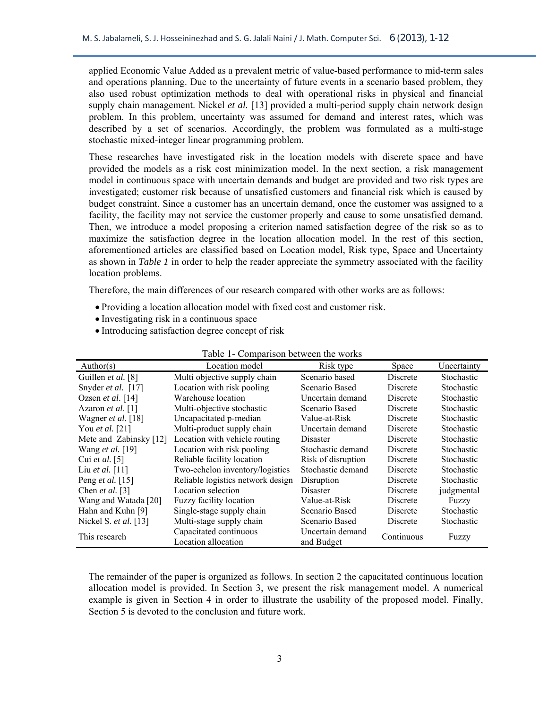applied Economic Value Added as a prevalent metric of value-based performance to mid-term sales and operations planning. Due to the uncertainty of future events in a scenario based problem, they also used robust optimization methods to deal with operational risks in physical and financial supply chain management. Nickel *et al.* [13] provided a multi-period supply chain network design problem. In this problem, uncertainty was assumed for demand and interest rates, which was described by a set of scenarios. Accordingly, the problem was formulated as a multi-stage stochastic mixed-integer linear programming problem.

These researches have investigated risk in the location models with discrete space and have provided the models as a risk cost minimization model. In the next section, a risk management model in continuous space with uncertain demands and budget are provided and two risk types are investigated; customer risk because of unsatisfied customers and financial risk which is caused by budget constraint. Since a customer has an uncertain demand, once the customer was assigned to a facility, the facility may not service the customer properly and cause to some unsatisfied demand. Then, we introduce a model proposing a criterion named satisfaction degree of the risk so as to maximize the satisfaction degree in the location allocation model. In the rest of this section, aforementioned articles are classified based on Location model, Risk type, Space and Uncertainty as shown in *Table 1* in order to help the reader appreciate the symmetry associated with the facility location problems.

Therefore, the main differences of our research compared with other works are as follows:

- Providing a location allocation model with fixed cost and customer risk.
- Investigating risk in a continuous space
- Introducing satisfaction degree concept of risk

| Author(s)               | Location model                                | Risk type                      | Space           | Uncertainty |
|-------------------------|-----------------------------------------------|--------------------------------|-----------------|-------------|
| Guillen et al. [8]      | Multi objective supply chain                  | Scenario based                 | Discrete        | Stochastic  |
| Snyder et al. [17]      | Location with risk pooling                    | Scenario Based                 | Discrete        | Stochastic  |
| Ozsen et al. [14]       | Warehouse location                            | Uncertain demand               | Discrete        | Stochastic  |
| Azaron et al. [1]       | Multi-objective stochastic                    | Scenario Based                 | Discrete        | Stochastic  |
| Wagner et al. [18]      | Uncapacitated p-median                        | Value-at-Risk                  | Discrete        | Stochastic  |
| You et al. [21]         | Multi-product supply chain                    | Uncertain demand               | Discrete        | Stochastic  |
| Mete and Zabinsky [12]  | Location with vehicle routing                 | Disaster                       | Discrete        | Stochastic  |
| Wang et al. [19]        | Location with risk pooling                    | Stochastic demand              | Discrete        | Stochastic  |
| Cui <i>et al.</i> [5]   | Reliable facility location                    | Risk of disruption             | Discrete        | Stochastic  |
| Liu et al. $[11]$       | Two-echelon inventory/logistics               | Stochastic demand              | Discrete        | Stochastic  |
| Peng <i>et al.</i> [15] | Reliable logistics network design             | Disruption                     | Discrete        | Stochastic  |
| Chen et al. [3]         | Location selection                            | Disaster                       | <b>Discrete</b> | judgmental  |
| Wang and Watada [20]    | <b>Fuzzy facility location</b>                | Value-at-Risk                  | Discrete        | Fuzzy       |
| Hahn and Kuhn [9]       | Single-stage supply chain                     | Scenario Based                 | Discrete        | Stochastic  |
| Nickel S. et al. $[13]$ | Multi-stage supply chain                      | Scenario Based                 | Discrete        | Stochastic  |
| This research           | Capacitated continuous<br>Location allocation | Uncertain demand<br>and Budget | Continuous      | Fuzzy       |

|  |  | Table 1- Comparison between the works |  |
|--|--|---------------------------------------|--|
|  |  |                                       |  |

The remainder of the paper is organized as follows. In section 2 the capacitated continuous location allocation model is provided. In Section 3, we present the risk management model. A numerical example is given in Section 4 in order to illustrate the usability of the proposed model. Finally, Section 5 is devoted to the conclusion and future work.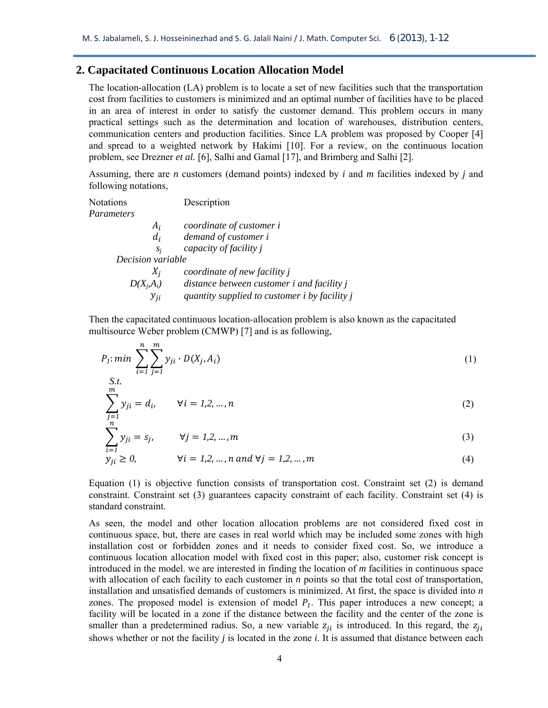## **2. Capacitated Continuous Location Allocation Model**

The location-allocation (LA) problem is to locate a set of new facilities such that the transportation cost from facilities to customers is minimized and an optimal number of facilities have to be placed in an area of interest in order to satisfy the customer demand. This problem occurs in many practical settings such as the determination and location of warehouses, distribution centers, communication centers and production facilities. Since LA problem was proposed by Cooper [4] and spread to a weighted network by Hakimi [10]. For a review, on the continuous location problem, see Drezner *et al.* [6], Salhi and Gamal [17], and Brimberg and Salhi [2].

Assuming, there are *n* customers (demand points) indexed by *i* and *m* facilities indexed by *j* and following notations,

| Notations         |          | Description                                              |
|-------------------|----------|----------------------------------------------------------|
| Parameters        |          |                                                          |
|                   | $A_i$    | coordinate of customer i                                 |
|                   | $d_i$    | demand of customer i                                     |
|                   | $S_i$    | capacity of facility j                                   |
| Decision variable |          |                                                          |
|                   | $X_i$    | coordinate of new facility j                             |
| $D(X_i,A_i)$      |          | distance between customer <i>i</i> and facility <i>j</i> |
|                   | $y_{ji}$ | quantity supplied to customer i by facility j            |

Then the capacitated continuous location-allocation problem is also known as the capacitated multisource Weber problem (CMWP) [7] and is as following,

$$
P_i: min \sum_{i=1}^{n} \sum_{j=1}^{m} y_{ji} \cdot D(X_j, A_i)
$$
 (1)

S.t.  
\n
$$
\sum_{j=1}^{m} y_{ji} = d_i, \qquad \forall i = 1, 2, ..., n
$$
\n(2)

$$
\sum_{i=1}^{n} y_{ji} = s_j, \qquad \forall j = 1, 2, \dots, m
$$
\n
$$
(3)
$$

$$
y_{ji} \ge 0,
$$
  $\forall i = 1,2,...,n \text{ and } \forall j = 1,2,...,m$  (4)

Equation (1) is objective function consists of transportation cost. Constraint set (2) is demand constraint. Constraint set (3) guarantees capacity constraint of each facility. Constraint set (4) is standard constraint.

As seen, the model and other location allocation problems are not considered fixed cost in continuous space, but, there are cases in real world which may be included some zones with high installation cost or forbidden zones and it needs to consider fixed cost. So, we introduce a continuous location allocation model with fixed cost in this paper; also, customer risk concept is introduced in the model. we are interested in finding the location of *m* facilities in continuous space with allocation of each facility to each customer in *n* points so that the total cost of transportation, installation and unsatisfied demands of customers is minimized. At first, the space is divided into *n* zones. The proposed model is extension of model  $P<sub>1</sub>$ . This paper introduces a new concept; a facility will be located in a zone if the distance between the facility and the center of the zone is smaller than a predetermined radius. So, a new variable  $z_{ji}$  is introduced. In this regard, the  $z_{ji}$ shows whether or not the facility *j* is located in the zone *i*. It is assumed that distance between each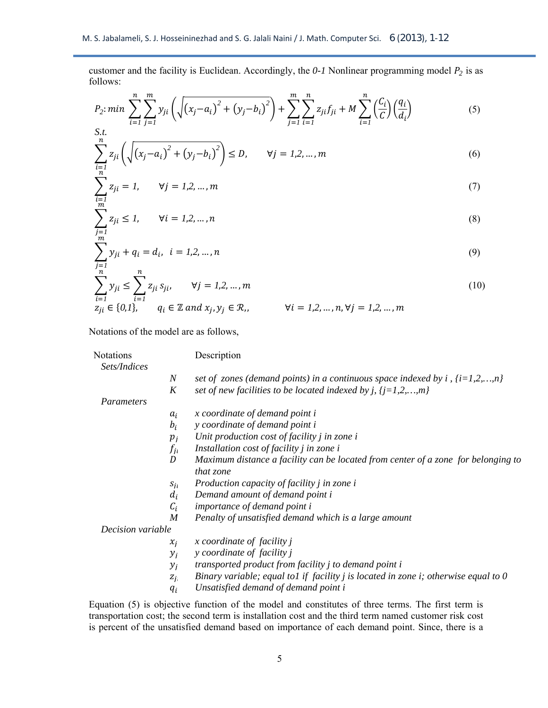customer and the facility is Euclidean. Accordingly, the  $0-1$  Nonlinear programming model  $P_2$  is as follows:

$$
P_2: \min \sum_{i=1}^n \sum_{j=1}^m y_{ji} \left( \sqrt{(x_j - a_i)^2 + (y_j - b_i)^2} \right) + \sum_{j=1}^m \sum_{i=1}^n z_{ji} f_{ji} + M \sum_{i=1}^n \left( \frac{C_i}{C} \right) \left( \frac{q_i}{d_i} \right)
$$
(5)

$$
\sum_{i=1}^{n} z_{ji} \left( \sqrt{(x_j - a_i)^2 + (y_j - b_i)^2} \right) \le D, \qquad \forall j = 1, 2, ..., m
$$
 (6)

$$
\sum_{\substack{i=1 \ n}}^{n} z_{ji} = 1, \qquad \forall j = 1, 2, \dots, m
$$
 (7)

$$
\sum_{\substack{j=1 \ m}} z_{ji} \le 1, \qquad \forall i = 1, 2, \dots, n
$$
\n(8)

$$
\sum_{\substack{j=1 \ n}} y_{ji} + q_i = d_i, \quad i = 1, 2, \dots, n
$$
\n(9)

$$
\sum_{i=1}^{n} y_{ji} \le \sum_{i=1}^{n} z_{ji} s_{ji}, \qquad \forall j = 1, 2, ..., m
$$
  
\n
$$
z_{ji} \in \{0, 1\}, \qquad q_i \in \mathbb{Z} \text{ and } x_j, y_j \in \mathcal{R}, \qquad \forall i = 1, 2, ..., n, \forall j = 1, 2, ..., m
$$
 (10)

Notations of the model are as follows,

| Notations<br>Sets/Indices |                  | Description                                                                                |
|---------------------------|------------------|--------------------------------------------------------------------------------------------|
|                           | $\boldsymbol{N}$ | set of zones (demand points) in a continuous space indexed by i, $\{i=1,2,,n\}$            |
|                           | K                | set of new facilities to be located indexed by j, $\{j=1,2,,m\}$                           |
| Parameters                |                  |                                                                                            |
|                           | $a_i$            | <i>x</i> coordinate of demand point i                                                      |
|                           | $b_i$            | y coordinate of demand point i                                                             |
|                           | $p_i$            | Unit production cost of facility <i>j</i> in zone <i>i</i>                                 |
|                           | $f_{ji}$         | Installation cost of facility <i>j</i> in zone <i>i</i>                                    |
|                           | D                | Maximum distance a facility can be located from center of a zone for belonging to          |
|                           |                  | that zone                                                                                  |
|                           | $S_{11}$         | Production capacity of facility <i>j</i> in zone <i>i</i>                                  |
|                           | $d_i$            | Demand amount of demand point i                                                            |
|                           | $C_i$            | importance of demand point i                                                               |
|                           | $\boldsymbol{M}$ | Penalty of unsatisfied demand which is a large amount                                      |
| Decision variable         |                  |                                                                                            |
|                           | $x_i$            | <i>x</i> coordinate of facility j                                                          |
|                           | $y_i$            | y coordinate of facility j                                                                 |
|                           | $y_i$            | transported product from facility j to demand point i                                      |
|                           | $z_{j}$          | Binary variable; equal to $l$ if facility $j$ is located in zone i; otherwise equal to $0$ |
|                           | $q_i$            | Unsatisfied demand of demand point i                                                       |

Equation (5) is objective function of the model and constitutes of three terms. The first term is transportation cost; the second term is installation cost and the third term named customer risk cost is percent of the unsatisfied demand based on importance of each demand point. Since, there is a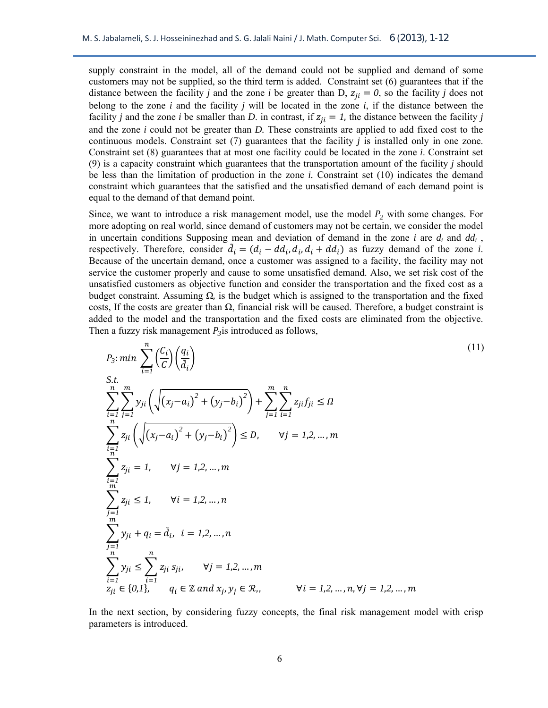supply constraint in the model, all of the demand could not be supplied and demand of some customers may not be supplied, so the third term is added. Constraint set (6) guarantees that if the distance between the facility *j* and the zone *i* be greater than D,  $z_{ji} = 0$ , so the facility *j* does not belong to the zone *i* and the facility *j* will be located in the zone *i*, if the distance between the facility *j* and the zone *i* be smaller than *D*. in contrast, if  $z_{ji} = 1$ , the distance between the facility *j* and the zone *i* could not be greater than *D.* These constraints are applied to add fixed cost to the continuous models. Constraint set (7) guarantees that the facility *j* is installed only in one zone. Constraint set (8) guarantees that at most one facility could be located in the zone *i*. Constraint set (9) is a capacity constraint which guarantees that the transportation amount of the facility *j* should be less than the limitation of production in the zone *i.* Constraint set (10) indicates the demand constraint which guarantees that the satisfied and the unsatisfied demand of each demand point is equal to the demand of that demand point.

Since, we want to introduce a risk management model, use the model  $P_2$  with some changes. For more adopting on real world, since demand of customers may not be certain, we consider the model in uncertain conditions Supposing mean and deviation of demand in the zone *i* are *di* and *ddi* , respectively. Therefore, consider  $\tilde{d}_i = (d_i - dd_i, d_i, d_i + dd_i)$  as fuzzy demand of the zone *i*. Because of the uncertain demand, once a customer was assigned to a facility, the facility may not service the customer properly and cause to some unsatisfied demand. Also, we set risk cost of the unsatisfied customers as objective function and consider the transportation and the fixed cost as a budget constraint. Assuming  $\Omega$ , is the budget which is assigned to the transportation and the fixed costs, If the costs are greater than  $\Omega$ , financial risk will be caused. Therefore, a budget constraint is added to the model and the transportation and the fixed costs are eliminated from the objective. Then a fuzzy risk management  $P_3$ is introduced as follows,

$$
P_3: \min \sum_{i=1}^{n} \left( \frac{C_i}{C} \right) \left( \frac{q_i}{\tilde{d}_i} \right)
$$
  
\n
$$
S.t. \sum_{i=1}^{n} \sum_{j=1}^{m} y_{ji} \left( \sqrt{(x_j - a_i)^2 + (y_j - b_i)^2} \right) + \sum_{j=1}^{m} \sum_{i=1}^{n} z_{ji} f_{ji} \le \Omega
$$
  
\n
$$
\sum_{i=1}^{n} z_{ji} \left( \sqrt{(x_j - a_i)^2 + (y_j - b_i)^2} \right) \le D, \quad \forall j = 1, 2, ..., m
$$
  
\n
$$
\sum_{i=1}^{m} z_{ji} = 1, \quad \forall j = 1, 2, ..., m
$$
  
\n
$$
\sum_{j=1}^{m} z_{ji} \le 1, \quad \forall i = 1, 2, ..., n
$$
  
\n
$$
\sum_{j=1}^{m} y_{ji} + q_i = \tilde{a}_i, \quad i = 1, 2, ..., n
$$
  
\n
$$
\sum_{i=1}^{n} y_{ji} \le \sum_{i=1}^{n} z_{ji} s_{ji}, \quad \forall j = 1, 2, ..., m
$$
  
\n
$$
z_{ji} \in \{0, 1\}, \quad q_i \in \mathbb{Z} \text{ and } x_j, y_j \in \mathbb{R}, \quad \forall i = 1, 2, ..., n, \forall j = 1, 2, ..., m
$$

In the next section, by considering fuzzy concepts, the final risk management model with crisp parameters is introduced.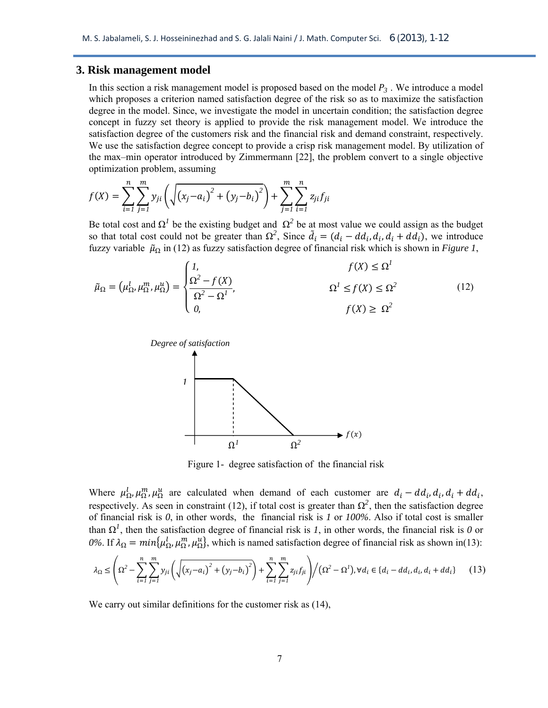#### **3. Risk management model**

In this section a risk management model is proposed based on the model  $P_3$ . We introduce a model which proposes a criterion named satisfaction degree of the risk so as to maximize the satisfaction degree in the model. Since, we investigate the model in uncertain condition; the satisfaction degree concept in fuzzy set theory is applied to provide the risk management model. We introduce the satisfaction degree of the customers risk and the financial risk and demand constraint, respectively. We use the satisfaction degree concept to provide a crisp risk management model. By utilization of the max–min operator introduced by Zimmermann [22], the problem convert to a single objective optimization problem, assuming

$$
f(X) = \sum_{i=1}^{n} \sum_{j=1}^{m} y_{ji} \left( \sqrt{(x_j - a_i)^2 + (y_j - b_i)^2} \right) + \sum_{j=1}^{m} \sum_{i=1}^{n} z_{ji} f_{ji}
$$

Be total cost and  $\Omega^1$  be the existing budget and  $\Omega^2$  be at most value we could assign as the budget so that total cost could not be greater than  $\Omega^2$ , Since  $\tilde{d}_i = (d_i - dd_i, d_i, d_i + dd_i)$ , we introduce fuzzy variable  $\tilde{\mu}_{\Omega}$  in (12) as fuzzy satisfaction degree of financial risk which is shown in *Figure 1*,

$$
\tilde{\mu}_{\Omega} = (\mu_{\Omega}^l, \mu_{\Omega}^m, \mu_{\Omega}^u) = \begin{cases}\n1, & f(X) \leq \Omega^l \\
\frac{\Omega^2 - f(X)}{\Omega^2 - \Omega^l}, & \Omega^l \leq f(X) \leq \Omega^2 \\
0, & f(X) \geq \Omega^2\n\end{cases}
$$
\n(12)



Figure 1- degree satisfaction of the financial risk

Where  $\mu_{\Omega}^l, \mu_{\Omega}^m, \mu_{\Omega}^u$  are calculated when demand of each customer are  $d_i - dd_i, d_i, d_i + dd_i$ , respectively. As seen in constraint (12), if total cost is greater than  $\Omega^2$ , then the satisfaction degree of financial risk is *0*, in other words, the financial risk is *1* or *100%*. Also if total cost is smaller than  $\Omega^1$ , then the satisfaction degree of financial risk is *1*, in other words, the financial risk is *0* or *0%*. If  $\lambda_{\Omega} = min\{\mu_{\Omega}^l, \mu_{\Omega}^m, \mu_{\Omega}^u\}$ , which is named satisfaction degree of financial risk as shown in(13):

$$
\lambda_{\Omega} \leq \left(\Omega^2 - \sum_{i=1}^n \sum_{j=1}^m y_{ji} \left( \sqrt{(x_j - a_i)^2 + (y_j - b_i)^2} \right) + \sum_{i=1}^n \sum_{j=1}^m z_{ji} f_{ji} \right) / (\Omega^2 - \Omega^1), \forall d_i \in \{d_i - dd_i, d_i, d_i + dd_i\} \tag{13}
$$

We carry out similar definitions for the customer risk as  $(14)$ ,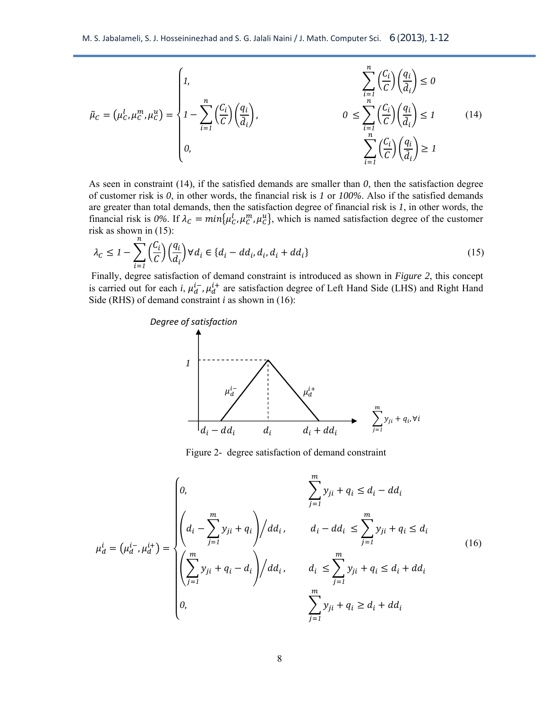$$
\tilde{\mu}_C = (\mu_C^l, \mu_C^m, \mu_C^u) = \begin{cases}\nI, & \sum_{i=1}^n \left(\frac{C_i}{C}\right) \left(\frac{q_i}{\tilde{d}_i}\right) \le 0 \\
I - \sum_{i=1}^n \left(\frac{C_i}{C}\right) \left(\frac{q_i}{\tilde{d}_i}\right), & 0 \le \sum_{i=1}^n \left(\frac{C_i}{C}\right) \left(\frac{q_i}{\tilde{d}_i}\right) \le 1 & (14) \\
0, & \sum_{i=1}^n \left(\frac{C_i}{C}\right) \left(\frac{q_i}{\tilde{d}_i}\right) \ge 1\n\end{cases}
$$

As seen in constraint (14), if the satisfied demands are smaller than *0*, then the satisfaction degree of customer risk is *0*, in other words, the financial risk is *1* or *100%*. Also if the satisfied demands are greater than total demands, then the satisfaction degree of financial risk is *1*, in other words, the financial risk is 0%. If  $\lambda_c = min\{\mu_c^l, \mu_c^m, \mu_c^u\}$ , which is named satisfaction degree of the customer risk as shown in (15):

$$
\lambda_C \leq 1 - \sum_{i=1}^n \left(\frac{C_i}{C}\right) \left(\frac{q_i}{d_i}\right) \forall d_i \in \{d_i - dd_i, d_i, d_i + dd_i\}
$$
\n(15)

 Finally, degree satisfaction of demand constraint is introduced as shown in *Figure 2*, this concept is carried out for each *i*,  $\mu_d^{i-}$ ,  $\mu_d^{i+}$  are satisfaction degree of Left Hand Side (LHS) and Right Hand Side (RHS) of demand constraint *i* as shown in (16):



Figure 2- degree satisfaction of demand constraint

$$
\mu_d^i = (\mu_d^{i-}, \mu_d^{i+}) = \begin{cases}\n0, & \sum_{j=1}^m y_{ji} + q_i \le d_i - dd_i \\
\left(d_i - \sum_{j=1}^m y_{ji} + q_i\right)/dd_i, & d_i - dd_i \le \sum_{j=1}^m y_{ji} + q_i \le d_i \\
\left(\sum_{j=1}^m y_{ji} + q_i - d_i\right)/dd_i, & d_i \le \sum_{j=1}^m y_{ji} + q_i \le d_i + dd_i \\
0, & \sum_{j=1}^m y_{ji} + q_i \ge d_i + dd_i\n\end{cases} (16)
$$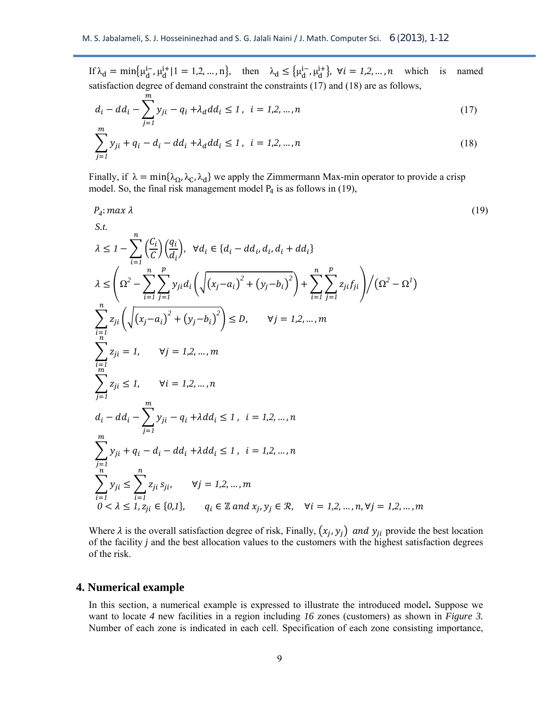If  $\lambda_d = \min\{\mu_d^{i-}, \mu_d^{i+} | 1 = 1, 2, ..., n\}$ , then  $\lambda_d \leq {\mu_d^{i-}, \mu_d^{i+}}$ ,  $\forall i = 1, 2, ..., n$  which is named satisfaction degree of demand constraint the constraints (17) and (18) are as follows,

$$
d_i - dd_i - \sum_{j=1}^{m} y_{ji} - q_i + \lambda_d dd_i \le 1, \ i = 1, 2, ..., n
$$
 (17)

$$
\sum_{j=1}^{N} y_{ji} + q_i - d_i - dd_i + \lambda_d dd_i \le 1, \ i = 1, 2, ..., n
$$
\n(18)

Finally, if  $\lambda = \min{\{\lambda_{\Omega}, \lambda_{\text{C}}, \lambda_{\text{d}}\}}$  we apply the Zimmermann Max-min operator to provide a crisp model. So, the final risk management model  $P_4$  is as follows in (19),

$$
P_4: \max \lambda \tag{19}
$$

S.t.  
\n
$$
\lambda \leq I - \sum_{i=1}^{n} \left( \frac{C_i}{C} \right) \left( \frac{q_i}{d_i} \right), \ \forall d_i \in \{d_i - dd_i, d_i, d_i + dd_i\}
$$
\n
$$
\lambda \leq \left( \Omega^2 - \sum_{i=1}^{n} \sum_{j=1}^{p} y_{ji} d_i \left( \sqrt{(x_j - a_i)^2 + (y_j - b_i)^2} \right) + \sum_{i=1}^{n} \sum_{j=1}^{p} z_{ji} f_{ji} \right) / (\Omega^2 - \Omega^I)
$$
\n
$$
\sum_{i=1}^{n} z_{ji} \left( \sqrt{(x_j - a_i)^2 + (y_j - b_i)^2} \right) \leq D, \quad \forall j = 1, 2, ..., m
$$
\n
$$
\sum_{i=1}^{n} z_{ji} = I, \quad \forall j = 1, 2, ..., n
$$
\n
$$
d_i - dd_i - \sum_{j=1}^{m} y_{ji} - q_i + \lambda dd_i \leq I, \ i = 1, 2, ..., n
$$
\n
$$
\sum_{j=1}^{m} y_{ji} + q_i - d_i - dd_i + \lambda dd_i \leq I, \ i = 1, 2, ..., n
$$
\n
$$
\sum_{i=1}^{n} y_{ji} \leq \sum_{i=1}^{n} z_{ji} s_{ji}, \quad \forall j = 1, 2, ..., m
$$
\n
$$
0 < \lambda \leq I, z_{ji} \in \{0, I\}, \quad q_i \in \mathbb{Z} \text{ and } x_j, y_j \in \mathcal{R}, \ \forall i = 1, 2, ..., n, \forall j = 1, 2, ..., m
$$

Where  $\lambda$  is the overall satisfaction degree of risk, Finally,  $(x_i, y_i)$  and  $y_{ii}$  provide the best location of the facility *j* and the best allocation values to the customers with the highest satisfaction degrees of the risk.

### **4. Numerical example**

In this section, a numerical example is expressed to illustrate the introduced model**.** Suppose we want to locate *4* new facilities in a region including *16* zones (customers) as shown in *Figure 3.* Number of each zone is indicated in each cell. Specification of each zone consisting importance,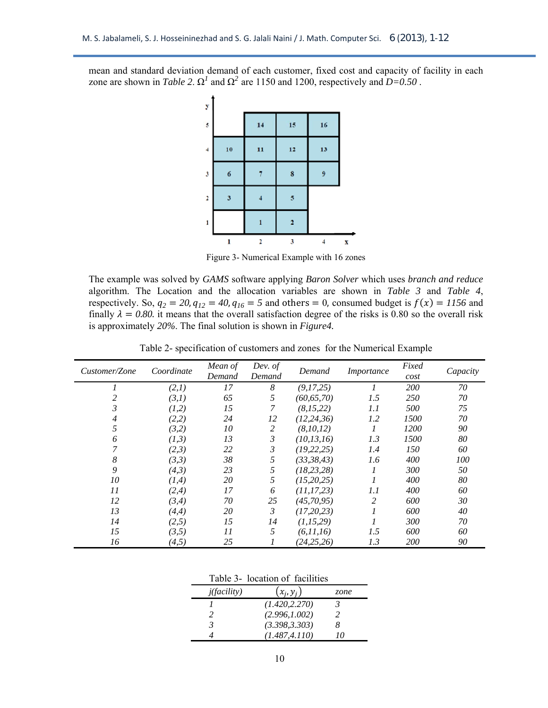mean and standard deviation demand of each customer, fixed cost and capacity of facility in each zone are shown in *Table 2*.  $\Omega^1$  and  $\Omega^2$  are 1150 and 1200, respectively and  $D=0.50$ .



Figure 3- Numerical Example with 16 zones

The example was solved by *GAMS* software applying *Baron Solver* which uses *branch and reduce*  algorithm. The Location and the allocation variables are shown in *Table 3* and *Table 4*, respectively. So,  $q_2 = 20$ ,  $q_{12} = 40$ ,  $q_{16} = 5$  and others = 0, consumed budget is  $f(x) = 1156$  and finally  $\lambda = 0.80$ . it means that the overall satisfaction degree of the risks is 0.80 so the overall risk is approximately *20%*. The final solution is shown in *Figure4.*

Table 2- specification of customers and zones for the Numerical Example

| Customer/Zone | Coordinate | Mean of<br>Demand | Dev. of<br>Demand | Demand       | <i>Importance</i> | Fixed<br>cost | Capacity |
|---------------|------------|-------------------|-------------------|--------------|-------------------|---------------|----------|
|               | (2,1)      | 17                | 8                 | (9,17,25)    |                   | 200           | 70       |
|               | (3,1)      | 65                | 5                 | (60, 65, 70) | 1.5               | <i>250</i>    | 70       |
| 3             | (1,2)      | 15                | 7                 | (8, 15, 22)  | 1.1               | 500           | 75       |
| 4             | (2,2)      | 24                | 12                | (12, 24, 36) | 1.2               | 1500          | 70       |
|               | (3,2)      | 10                | 2                 | (8, 10, 12)  |                   | 1200          | 90       |
| 6             | (1,3)      | 13                | 3                 | (10, 13, 16) | 1.3               | 1500          | 80       |
|               | (2,3)      | 22                | 3                 | (19, 22, 25) | 1.4               | 150           | 60       |
| 8             | (3,3)      | 38                | 5                 | (33, 38, 43) | 1.6               | 400           | 100      |
| 9             | (4,3)      | 23                | 5                 | (18, 23, 28) |                   | 300           | 50       |
| 10            | (1,4)      | 20                | 5                 | (15, 20, 25) |                   | 400           | 80       |
| 11            | (2,4)      | 17                | 6                 | (11, 17, 23) | 1.1               | 400           | 60       |
| 12            | (3,4)      | 70                | 25                | (45, 70, 95) | 2                 | 600           | 30       |
| 13            | (4,4)      | 20                | 3                 | (17, 20, 23) | 1                 | 600           | 40       |
| 14            | (2,5)      | 15                | 14                | (1, 15, 29)  |                   | 300           | 70       |
| 15            | (3,5)      | 11                | 5                 | (6, 11, 16)  | 1.5               | 600           | 60       |
| 16            | (4,5)      | 25                |                   | (24, 25, 26) | 1.3               | 200           | 90       |

|  |  | Table 3- location of facilities |  |
|--|--|---------------------------------|--|
|--|--|---------------------------------|--|

| <i>j</i> ( <i>facility</i> ) | $(x_i, y_i)$   | zone |
|------------------------------|----------------|------|
|                              | (1.420, 2.270) |      |
|                              | (2.996, 1.002) |      |
| 3                            | (3.398, 3.303) |      |
|                              | (1.487, 4.110) | 77)  |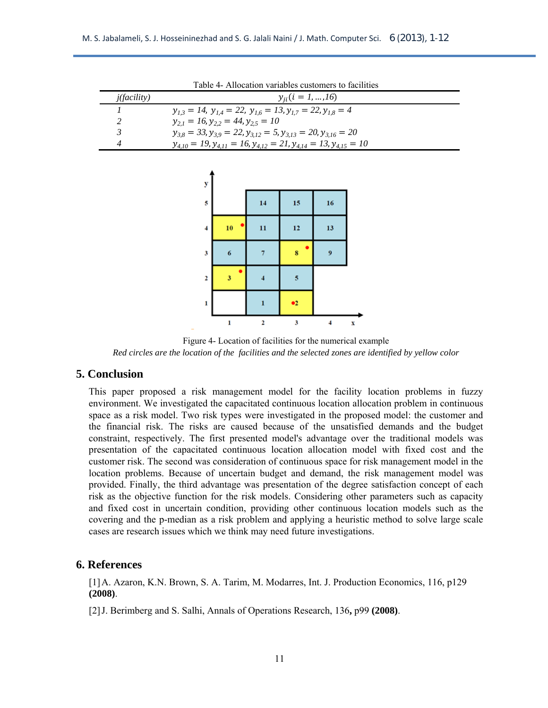|             | Table 4- Allocation variables customers to facilities                             |
|-------------|-----------------------------------------------------------------------------------|
| j(facility) | $y_{ii}$ ( $i = 1,,16$ )                                                          |
|             | $y_{1,3} = 14$ , $y_{1,4} = 22$ , $y_{1,6} = 13$ , $y_{1,7} = 22$ , $y_{1,8} = 4$ |
|             | $y_{2,1} = 16$ , $y_{2,2} = 44$ , $y_{2,5} = 10$                                  |
|             | $y_{3,8} = 33, y_{3,9} = 22, y_{3,12} = 5, y_{3,13} = 20, y_{3,16} = 20$          |
|             | $y_{4,10} = 19, y_{4,11} = 16, y_{4,12} = 21, y_{4,14} = 13, y_{4,15} = 10$       |

Table 4- Allocation variables customers to facilities



Figure 4- Location of facilities for the numerical example *Red circles are the location of the facilities and the selected zones are identified by yellow color*

## **5. Conclusion**

This paper proposed a risk management model for the facility location problems in fuzzy environment. We investigated the capacitated continuous location allocation problem in continuous space as a risk model. Two risk types were investigated in the proposed model: the customer and the financial risk. The risks are caused because of the unsatisfied demands and the budget constraint, respectively. The first presented model's advantage over the traditional models was presentation of the capacitated continuous location allocation model with fixed cost and the customer risk. The second was consideration of continuous space for risk management model in the location problems. Because of uncertain budget and demand, the risk management model was provided. Finally, the third advantage was presentation of the degree satisfaction concept of each risk as the objective function for the risk models. Considering other parameters such as capacity and fixed cost in uncertain condition, providing other continuous location models such as the covering and the p-median as a risk problem and applying a heuristic method to solve large scale cases are research issues which we think may need future investigations.

### **6. References**

[1]A. Azaron, K.N. Brown, S. A. Tarim, M. Modarres, Int. J. Production Economics, 116, p129 **(2008)**.

[2]J. Berimberg and S. Salhi, Annals of Operations Research, 136**,** p99 **(2008)**.